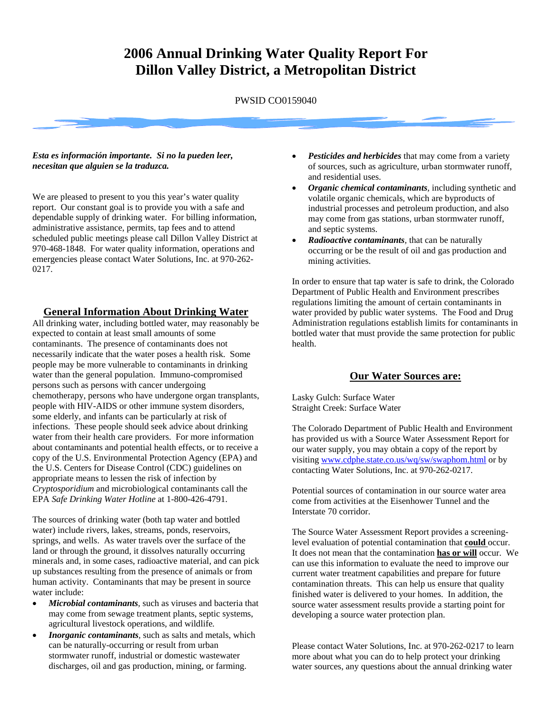# **2006 Annual Drinking Water Quality Report For Dillon Valley District, a Metropolitan District**

PWSID CO0159040

#### *Esta es información importante. Si no la pueden leer, necesitan que alguien se la traduzca.*

We are pleased to present to you this year's water quality report. Our constant goal is to provide you with a safe and dependable supply of drinking water. For billing information, administrative assistance, permits, tap fees and to attend scheduled public meetings please call Dillon Valley District at 970-468-1848. For water quality information, operations and emergencies please contact Water Solutions, Inc. at 970-262- 0217.

#### **General Information About Drinking Water**

All drinking water, including bottled water, may reasonably be expected to contain at least small amounts of some contaminants. The presence of contaminants does not necessarily indicate that the water poses a health risk. Some people may be more vulnerable to contaminants in drinking water than the general population. Immuno-compromised persons such as persons with cancer undergoing chemotherapy, persons who have undergone organ transplants, people with HIV-AIDS or other immune system disorders, some elderly, and infants can be particularly at risk of infections. These people should seek advice about drinking water from their health care providers. For more information about contaminants and potential health effects, or to receive a copy of the U.S. Environmental Protection Agency (EPA) and the U.S. Centers for Disease Control (CDC) guidelines on appropriate means to lessen the risk of infection by *Cryptosporidium* and microbiological contaminants call the EPA *Safe Drinking Water Hotline* at 1-800-426-4791.

The sources of drinking water (both tap water and bottled water) include rivers, lakes, streams, ponds, reservoirs, springs, and wells. As water travels over the surface of the land or through the ground, it dissolves naturally occurring minerals and, in some cases, radioactive material, and can pick up substances resulting from the presence of animals or from human activity. Contaminants that may be present in source water include:

- *Microbial contaminants,* such as viruses and bacteria that may come from sewage treatment plants, septic systems, agricultural livestock operations, and wildlife*.*
- *Inorganic contaminants,* such as salts and metals, which can be naturally-occurring or result from urban stormwater runoff, industrial or domestic wastewater discharges, oil and gas production, mining, or farming.
- **Pesticides and herbicides** that may come from a variety of sources, such as agriculture, urban stormwater runoff, and residential uses.
- *Organic chemical contaminants,* including synthetic and volatile organic chemicals, which are byproducts of industrial processes and petroleum production, and also may come from gas stations, urban stormwater runoff, and septic systems.
- *Radioactive contaminants,* that can be naturally occurring or be the result of oil and gas production and mining activities.

In order to ensure that tap water is safe to drink, the Colorado Department of Public Health and Environment prescribes regulations limiting the amount of certain contaminants in water provided by public water systems. The Food and Drug Administration regulations establish limits for contaminants in bottled water that must provide the same protection for public health.

### **Our Water Sources are:**

Lasky Gulch: Surface Water Straight Creek: Surface Water

The Colorado Department of Public Health and Environment has provided us with a Source Water Assessment Report for our water supply, you may obtain a copy of the report by visiting [www.cdphe.state.co.us/wq/sw/swaphom.html](http://www.cdphe.state.co.us/wq/sw/swaphom.html) or by contacting Water Solutions, Inc. at 970-262-0217.

Potential sources of contamination in our source water area come from activities at the Eisenhower Tunnel and the Interstate 70 corridor.

The Source Water Assessment Report provides a screeninglevel evaluation of potential contamination that **could** occur. It does not mean that the contamination **has or will** occur. We can use this information to evaluate the need to improve our current water treatment capabilities and prepare for future contamination threats. This can help us ensure that quality finished water is delivered to your homes. In addition, the source water assessment results provide a starting point for developing a source water protection plan.

Please contact Water Solutions, Inc. at 970-262-0217 to learn more about what you can do to help protect your drinking water sources, any questions about the annual drinking water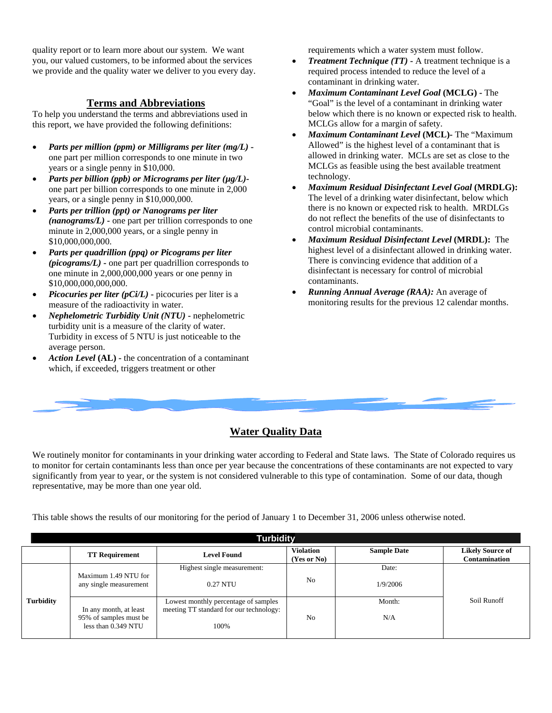quality report or to learn more about our system. We want you, our valued customers, to be informed about the services we provide and the quality water we deliver to you every day.

### **Terms and Abbreviations**

To help you understand the terms and abbreviations used in this report, we have provided the following definitions:

- *Parts per million (ppm) or Milligrams per liter (mg/L)* one part per million corresponds to one minute in two years or a single penny in \$10,000.
- *Parts per billion (ppb) or Micrograms per liter (µg/L)* one part per billion corresponds to one minute in 2,000 years, or a single penny in \$10,000,000.
- *Parts per trillion (ppt) or Nanograms per liter (nanograms/L)* **-** one part per trillion corresponds to one minute in 2,000,000 years, or a single penny in \$10,000,000,000.
- *Parts per quadrillion (ppq) or Picograms per liter (picograms/L)* **-** one part per quadrillion corresponds to one minute in 2,000,000,000 years or one penny in \$10,000,000,000,000.
- *Picocuries per liter (pCi/L)* **-** picocuries per liter is a measure of the radioactivity in water.
- *Nephelometric Turbidity Unit (NTU)* **-** nephelometric turbidity unit is a measure of the clarity of water. Turbidity in excess of 5 NTU is just noticeable to the average person.
- *Action Level* **(AL) -** the concentration of a contaminant which, if exceeded, triggers treatment or other

requirements which a water system must follow.

- *Treatment Technique (TT)* **-** A treatment technique is a required process intended to reduce the level of a contaminant in drinking water.
- *Maximum Contaminant Level Goal* **(MCLG) -** The "Goal" is the level of a contaminant in drinking water below which there is no known or expected risk to health. MCLGs allow for a margin of safety.
- *Maximum Contaminant Level* **(MCL)-** The "Maximum Allowed" is the highest level of a contaminant that is allowed in drinking water. MCLs are set as close to the MCLGs as feasible using the best available treatment technology.
- *Maximum Residual Disinfectant Level Goal* **(MRDLG):** The level of a drinking water disinfectant, below which there is no known or expected risk to health. MRDLGs do not reflect the benefits of the use of disinfectants to control microbial contaminants.
- *Maximum Residual Disinfectant Level* **(MRDL):** The highest level of a disinfectant allowed in drinking water. There is convincing evidence that addition of a disinfectant is necessary for control of microbial contaminants.
- *Running Annual Average (RAA):* An average of monitoring results for the previous 12 calendar months.

## **Water Quality Data**

We routinely monitor for contaminants in your drinking water according to Federal and State laws. The State of Colorado requires us to monitor for certain contaminants less than once per year because the concentrations of these contaminants are not expected to vary significantly from year to year, or the system is not considered vulnerable to this type of contamination. Some of our data, though representative, may be more than one year old.

This table shows the results of our monitoring for the period of January 1 to December 31, 2006 unless otherwise noted.

| <b>Turbidity</b> |                                                                         |                                                                                         |                                 |                    |                                          |  |  |  |  |  |
|------------------|-------------------------------------------------------------------------|-----------------------------------------------------------------------------------------|---------------------------------|--------------------|------------------------------------------|--|--|--|--|--|
|                  | <b>TT Requirement</b>                                                   | <b>Level Found</b>                                                                      | <b>Violation</b><br>(Yes or No) | <b>Sample Date</b> | <b>Likely Source of</b><br>Contamination |  |  |  |  |  |
|                  | Maximum 1.49 NTU for<br>any single measurement                          | Highest single measurement:<br>0.27 NTU                                                 | N <sub>0</sub>                  | Date:<br>1/9/2006  |                                          |  |  |  |  |  |
| <b>Turbidity</b> | In any month, at least<br>95% of samples must be<br>less than 0.349 NTU | Lowest monthly percentage of samples<br>meeting TT standard for our technology:<br>100% | N <sub>0</sub>                  | Month:<br>N/A      | Soil Runoff                              |  |  |  |  |  |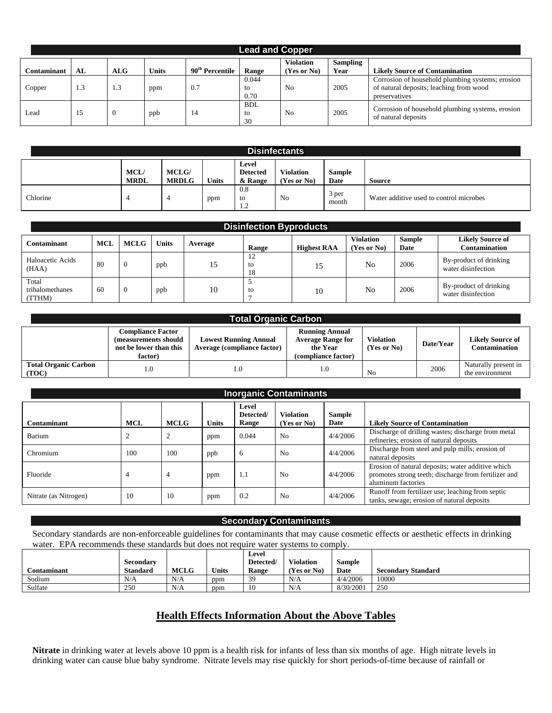|             | <b>Lead and Copper</b> |            |              |                             |                        |                                 |                         |                                                                                                              |  |  |  |
|-------------|------------------------|------------|--------------|-----------------------------|------------------------|---------------------------------|-------------------------|--------------------------------------------------------------------------------------------------------------|--|--|--|
| Contaminant | AL                     | <b>ALG</b> | <b>Units</b> | 90 <sup>th</sup> Percentile | Range                  | <b>Violation</b><br>(Yes or No) | <b>Sampling</b><br>Year | <b>Likely Source of Contamination</b>                                                                        |  |  |  |
| Copper      | 1.3                    | 1.3        | ppm          | 0.7                         | 0.044<br>to<br>0.70    | N <sub>0</sub>                  | 2005                    | Corrosion of household plumbing systems; erosion<br>of natural deposits; leaching from wood<br>preservatives |  |  |  |
| Lead        |                        | v          | ppb          | 14                          | <b>BDL</b><br>to<br>30 | N <sub>0</sub>                  | 2005                    | Corrosion of household plumbing systems, erosion<br>of natural deposits                                      |  |  |  |

| <b>Disinfectants</b> |                           |                              |              |                                     |                                 |                       |                                         |  |  |
|----------------------|---------------------------|------------------------------|--------------|-------------------------------------|---------------------------------|-----------------------|-----------------------------------------|--|--|
|                      | <b>MCL</b><br><b>MRDL</b> | <b>MCLG/</b><br><b>MRDLG</b> | <b>Units</b> | Level<br><b>Detected</b><br>& Range | <b>Violation</b><br>(Yes or No) | Sample<br><b>Date</b> | <b>Source</b>                           |  |  |
| Chlorine             |                           |                              | ppm          | $0.8\,$<br>to<br>$\mathcal{L}$      | N <sub>0</sub>                  | 3 per<br>month        | Water additive used to control microbes |  |  |

| <b>Disinfection Byproducts</b>     |            |                |              |         |                |                    |                                 |                |                                              |  |
|------------------------------------|------------|----------------|--------------|---------|----------------|--------------------|---------------------------------|----------------|----------------------------------------------|--|
| Contaminant                        | <b>MCL</b> | <b>MCLG</b>    | <b>Units</b> | Average | Range          | <b>Highest RAA</b> | <b>Violation</b><br>(Yes or No) | Sample<br>Date | <b>Likely Source of</b><br>Contamination     |  |
| Haloacetic Acids<br>(HAA)          | 80         | $\Omega$       | ppb          | 15      | 12<br>to<br>18 | 15                 | No                              | 2006           | By-product of drinking<br>water disinfection |  |
| Total<br>trihalomethanes<br>(TTHM) | 60         | $\overline{0}$ | ppb          | 10      | to             | 10                 | N <sub>0</sub>                  | 2006           | By-product of drinking<br>water disinfection |  |

| <b>Total Organic Carbon</b>          |                                                                                       |                                                             |                                                                                      |                                     |           |                                                 |  |  |  |  |  |
|--------------------------------------|---------------------------------------------------------------------------------------|-------------------------------------------------------------|--------------------------------------------------------------------------------------|-------------------------------------|-----------|-------------------------------------------------|--|--|--|--|--|
|                                      | <b>Compliance Factor</b><br>(measurements should<br>not be lower than this<br>factor) | <b>Lowest Running Annual</b><br>Average (compliance factor) | <b>Running Annual</b><br><b>Average Range for</b><br>the Year<br>(compliance factor) | <b>Violation</b><br>$(Yes$ or $No)$ | Date/Year | <b>Likely Source of</b><br><b>Contamination</b> |  |  |  |  |  |
| <b>Total Organic Carbon</b><br>(TOC) |                                                                                       | 0.1                                                         | 1.0                                                                                  | N <sub>0</sub>                      | 2006      | Naturally present in<br>the environment         |  |  |  |  |  |

| <b>Inorganic Contaminants</b> |            |             |              |                             |                                 |                       |                                                                                                                                 |  |  |
|-------------------------------|------------|-------------|--------------|-----------------------------|---------------------------------|-----------------------|---------------------------------------------------------------------------------------------------------------------------------|--|--|
| Contaminant                   | <b>MCL</b> | <b>MCLG</b> | <b>Units</b> | Level<br>Detected/<br>Range | <b>Violation</b><br>(Yes or No) | <b>Sample</b><br>Date | <b>Likely Source of Contamination</b>                                                                                           |  |  |
| Barium                        | ∠          | ∠           | ppm          | 0.044                       | N <sub>0</sub>                  | 4/4/2006              | Discharge of drilling wastes; discharge from metal<br>refineries; erosion of natural deposits                                   |  |  |
| Chromium                      | 100        | 100         | ppb          | 6                           | N <sub>0</sub>                  | 4/4/2006              | Discharge from steel and pulp mills; erosion of<br>natural deposits                                                             |  |  |
| Fluoride                      | 4          | 4           | ppm          | 1.1                         | N <sub>0</sub>                  | 4/4/2006              | Erosion of natural deposits; water additive which<br>promotes strong teeth; discharge from fertilizer and<br>aluminum factories |  |  |
| Nitrate (as Nitrogen)         | 10         | 10          | ppm          | 0.2                         | No                              | 4/4/2006              | Runoff from fertilizer use; leaching from septic<br>tanks, sewage; erosion of natural deposits                                  |  |  |

#### **Secondary Contaminants**

Secondary standards are non-enforceable guidelines for contaminants that may cause cosmetic effects or aesthetic effects in drinking water. EPA recommends these standards but does not require water systems to comply.

| <b>Contaminant</b> | Secondary<br><b>Standard</b> | <b>MCLG</b> | <b>Units</b> | Level<br>Detected/<br>Range | <b>Violation</b><br>Yes or No) | Sample<br>Date | <b>Secondary Standard</b> |
|--------------------|------------------------------|-------------|--------------|-----------------------------|--------------------------------|----------------|---------------------------|
| Sodium             | N/A                          | N/A         | ppm          | 39                          | N/A                            | 4/4/2006       | 10000                     |
| Sulfate            | 250                          | N/A         | ppm          |                             | N/A                            | 8/30/2001      | 250                       |

# **Health Effects Information About the Above Tables**

**Nitrate** in drinking water at levels above 10 ppm is a health risk for infants of less than six months of age. High nitrate levels in drinking water can cause blue baby syndrome. Nitrate levels may rise quickly for short periods-of-time because of rainfall or